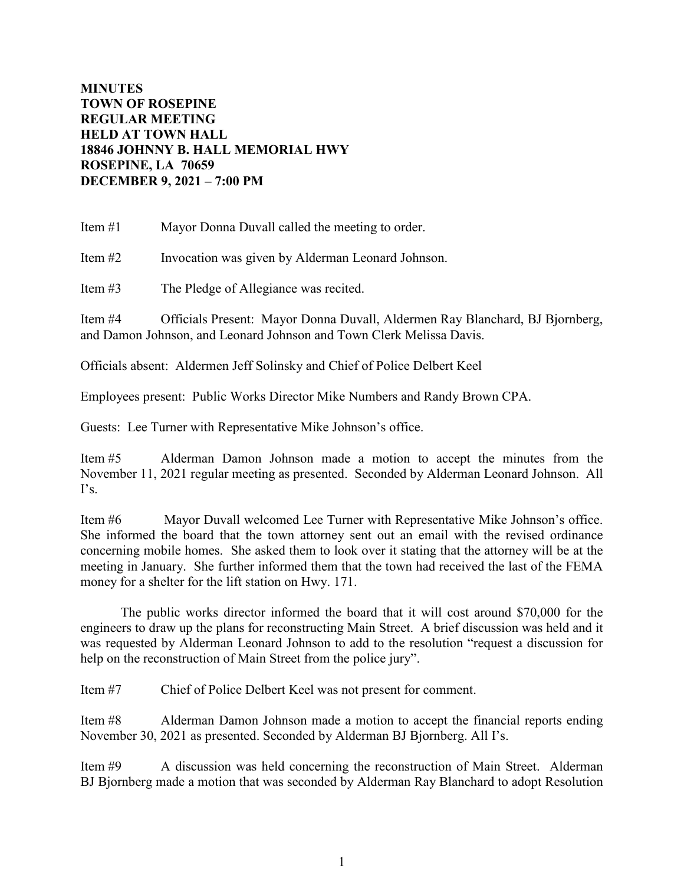## **MINUTES TOWN OF ROSEPINE REGULAR MEETING HELD AT TOWN HALL 18846 JOHNNY B. HALL MEMORIAL HWY ROSEPINE, LA 70659 DECEMBER 9, 2021 – 7:00 PM**

Item #1 Mayor Donna Duvall called the meeting to order.

Item #2 Invocation was given by Alderman Leonard Johnson.

Item #3 The Pledge of Allegiance was recited.

Item #4 Officials Present: Mayor Donna Duvall, Aldermen Ray Blanchard, BJ Bjornberg, and Damon Johnson, and Leonard Johnson and Town Clerk Melissa Davis.

Officials absent: Aldermen Jeff Solinsky and Chief of Police Delbert Keel

Employees present: Public Works Director Mike Numbers and Randy Brown CPA.

Guests: Lee Turner with Representative Mike Johnson's office.

Item #5 Alderman Damon Johnson made a motion to accept the minutes from the November 11, 2021 regular meeting as presented. Seconded by Alderman Leonard Johnson. All  $\Gamma$ s.

Item #6 Mayor Duvall welcomed Lee Turner with Representative Mike Johnson's office. She informed the board that the town attorney sent out an email with the revised ordinance concerning mobile homes. She asked them to look over it stating that the attorney will be at the meeting in January. She further informed them that the town had received the last of the FEMA money for a shelter for the lift station on Hwy. 171.

The public works director informed the board that it will cost around \$70,000 for the engineers to draw up the plans for reconstructing Main Street. A brief discussion was held and it was requested by Alderman Leonard Johnson to add to the resolution "request a discussion for help on the reconstruction of Main Street from the police jury".

Item #7 Chief of Police Delbert Keel was not present for comment.

Item #8 Alderman Damon Johnson made a motion to accept the financial reports ending November 30, 2021 as presented. Seconded by Alderman BJ Bjornberg. All I's.

Item #9 A discussion was held concerning the reconstruction of Main Street. Alderman BJ Bjornberg made a motion that was seconded by Alderman Ray Blanchard to adopt Resolution